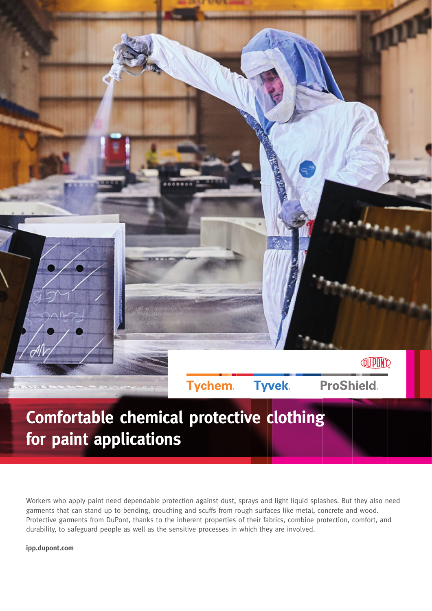

## **Comfortable chemical protective clothing for paint applications**

Workers who apply paint need dependable protection against dust, sprays and light liquid splashes. But they also need garments that can stand up to bending, crouching and scuffs from rough surfaces like metal, concrete and wood. Protective garments from DuPont, thanks to the inherent properties of their fabrics, combine protection, comfort, and durability, to safeguard people as well as the sensitive processes in which they are involved.

**ipp.dupont.com**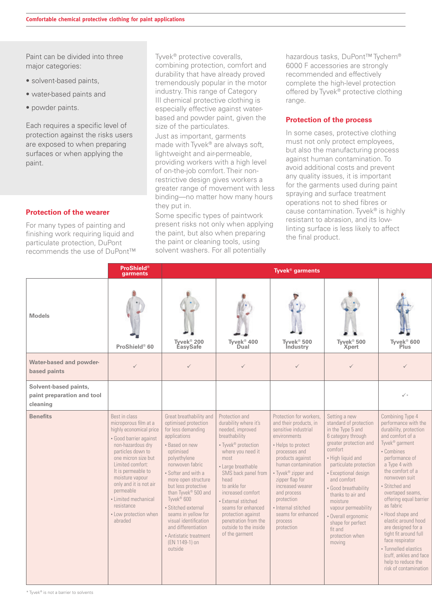Paint can be divided into three major categories:

- solvent-based paints,
- water-based paints and
- powder paints.

Each requires a specific level of protection against the risks users are exposed to when preparing surfaces or when applying the paint.

## **Protection of the wearer**

For many types of painting and finishing work requiring liquid and particulate protection, DuPont recommends the use of DuPont™ Tyvek® protective coveralls, combining protection, comfort and durability that have already proved tremendously popular in the motor industry. This range of Category III chemical protective clothing is especially effective against waterbased and powder paint, given the size of the particulates.

Just as important, garments made with Tyvek® are always soft, lightweight and air-permeable, providing workers with a high level of on-the-job comfort. Their nonrestrictive design gives workers a greater range of movement with less binding—no matter how many hours they put in.

Some specific types of paintwork present risks not only when applying the paint, but also when preparing the paint or cleaning tools, using solvent washers. For all potentially

hazardous tasks, DuPont™ Tychem® 6000 F accessories are strongly recommended and effectively complete the high-level protection offered by Tyvek® protective clothing range.

## **Protection of the process**

In some cases, protective clothing must not only protect employees, but also the manufacturing process against human contamination. To avoid additional costs and prevent any quality issues, it is important for the garments used during paint spraying and surface treatment operations not to shed fibres or cause contamination. Tyvek<sup>®</sup> is highly resistant to abrasion, and its lowlinting surface is less likely to affect the final product.

|                                                                 | <b>ProShield®</b><br>garments                                                                                                                                                                                                                                                                                                                                         |                                                                                                                                                                                                                                                                                                                                                                                                                                         |                                                                                                                                                                                                                                                                                                                                                            | Tyvek <sup>®</sup> garments                                                                                                                                                                                                                                                                                                                  |                                                                                                                                                                                                                                                                                                                                                                                   |                                                                                                                                                                                                                                                                                                                                                                                                                                                                                                       |
|-----------------------------------------------------------------|-----------------------------------------------------------------------------------------------------------------------------------------------------------------------------------------------------------------------------------------------------------------------------------------------------------------------------------------------------------------------|-----------------------------------------------------------------------------------------------------------------------------------------------------------------------------------------------------------------------------------------------------------------------------------------------------------------------------------------------------------------------------------------------------------------------------------------|------------------------------------------------------------------------------------------------------------------------------------------------------------------------------------------------------------------------------------------------------------------------------------------------------------------------------------------------------------|----------------------------------------------------------------------------------------------------------------------------------------------------------------------------------------------------------------------------------------------------------------------------------------------------------------------------------------------|-----------------------------------------------------------------------------------------------------------------------------------------------------------------------------------------------------------------------------------------------------------------------------------------------------------------------------------------------------------------------------------|-------------------------------------------------------------------------------------------------------------------------------------------------------------------------------------------------------------------------------------------------------------------------------------------------------------------------------------------------------------------------------------------------------------------------------------------------------------------------------------------------------|
| <b>Models</b>                                                   | $+1$<br>ProShield® 60                                                                                                                                                                                                                                                                                                                                                 | $\frac{1}{2}$ .<br>Tyvek <sup>®</sup> 200<br>EasySafe                                                                                                                                                                                                                                                                                                                                                                                   | w<br>Tyvek <sup>®</sup> 400<br>Dual                                                                                                                                                                                                                                                                                                                        | $\sqrt{2}$<br>Tyvek <sup>®</sup> 500<br><b>Industry</b>                                                                                                                                                                                                                                                                                      | - 410<br>. .<br>Tyvek <sup>®</sup> 500<br><b>Xpert</b>                                                                                                                                                                                                                                                                                                                            | Tyvek <sup>®</sup> 600                                                                                                                                                                                                                                                                                                                                                                                                                                                                                |
| Water-based and powder-<br>based paints                         | $\checkmark$                                                                                                                                                                                                                                                                                                                                                          | $\checkmark$                                                                                                                                                                                                                                                                                                                                                                                                                            | $\checkmark$                                                                                                                                                                                                                                                                                                                                               | $\checkmark$                                                                                                                                                                                                                                                                                                                                 |                                                                                                                                                                                                                                                                                                                                                                                   | ✓                                                                                                                                                                                                                                                                                                                                                                                                                                                                                                     |
| Solvent-based paints,<br>paint preparation and tool<br>cleaning |                                                                                                                                                                                                                                                                                                                                                                       |                                                                                                                                                                                                                                                                                                                                                                                                                                         |                                                                                                                                                                                                                                                                                                                                                            |                                                                                                                                                                                                                                                                                                                                              |                                                                                                                                                                                                                                                                                                                                                                                   | $\checkmark$                                                                                                                                                                                                                                                                                                                                                                                                                                                                                          |
| <b>Benefits</b>                                                 | Best in class<br>microporous film at a<br>highly economical price $\vert$ for less demanding<br>· Good barrier against<br>non-hazardous dry<br>particles down to<br>one micron size but<br>Limited comfort:<br>It is permeable to<br>moisture vapour<br>only and it is not air<br>permeable<br>• Limited mechanical<br>resistance<br>• Low protection when<br>abraded | Great breathability and Protection and<br>optimised protection<br>applications<br>• Based on new<br>optimised<br>polyethylene<br>nonwoven fabric<br>• Softer and with a<br>more open structure<br>but less protective<br>than Tyvek <sup>®</sup> 500 and<br>Tyvek <sup>®</sup> 600<br>· Stitched external<br>seams in yellow for<br>visual identification<br>and differentiation<br>• Antistatic treatment<br>(EN 1149-1) on<br>outside | durability where it's<br>needed, improved<br>breathability<br>• Tyvek <sup>®</sup> protection<br>where you need it<br>most<br>· Large breathable<br>SMS back panel from<br>head<br>to ankle for<br>increased comfort<br>· External stitched<br>seams for enhanced<br>protection against<br>penetration from the<br>outside to the inside<br>of the garment | Protection for workers,<br>and their products, in<br>sensitive industrial<br>environments<br>• Helps to protect<br>processes and<br>products against<br>human contamination<br>• Tyvek® zipper and<br>zipper flap for<br>increased wearer<br>and process<br>protection<br>· Internal stitched<br>seams for enhanced<br>process<br>protection | Setting a new<br>standard of protection<br>in the Type 5 and<br>6 category through<br>greater protection and<br>comfort<br>• High liquid and<br>particulate protection<br>• Exceptional design<br>and comfort<br>· Good breathability<br>thanks to air and<br>moisture<br>vapour permeability<br>· Overall ergonomic<br>shape for perfect<br>fit and<br>protection when<br>moving | Combining Type 4<br>performance with the<br>durability, protection<br>and comfort of a<br>Tyvek <sup>®</sup> garment<br>• Combines<br>performance of<br>a Type 4 with<br>the comfort of a<br>nonwoven suit<br>• Stitched and<br>overtaped seams,<br>offering equal barrier<br>as fabric<br>• Hood shape and<br>elastic around hood<br>are designed for a<br>tight fit around full<br>face respirator<br>• Tunnelled elastics<br>(cuff, ankles and face<br>help to reduce the<br>risk of contamination |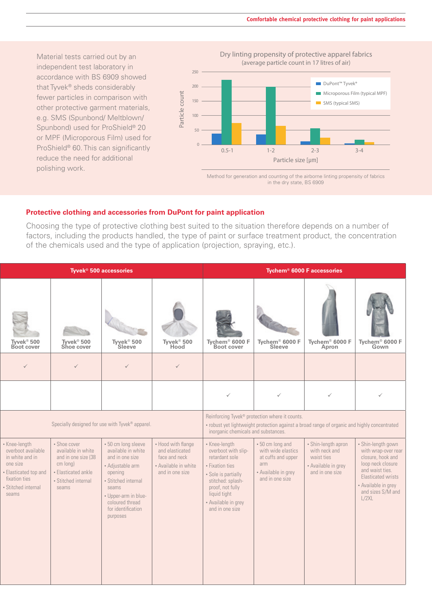Material tests carried out by an independent test laboratory in accordance with BS 6909 showed that Tyvek® sheds considerably fewer particles in comparison with other protective garment materials, e.g. SMS (Spunbond/ Meltblown/ Spunbond) used for ProShield® 20 or MPF (Microporous Film) used for ProShield® 60. This can significantly reduce the need for additional polishing work.

Dry linting propensity of protective apparel fabrics (average particle count in 17 litres of air)



Method for generation and counting of the airborne linting propensity of fabrics in the dry state, BS 6909

## **Protective clothing and accessories from DuPont for paint application**

Choosing the type of protective clothing best suited to the situation therefore depends on a number of factors, including the products handled, the type of paint or surface treatment product, the concentration of the chemicals used and the type of application (projection, spraying, etc.).

|                                                                                                                                              |                                                                                                                              | Tyvek <sup>®</sup> 500 accessories                                                                                                                                                                       |                                                                                                   | Tychem <sup>®</sup> 6000 F accessories                                                                                                                                                              |                                                                                                               |                                                                                              |                                                                                                                                                                                   |  |
|----------------------------------------------------------------------------------------------------------------------------------------------|------------------------------------------------------------------------------------------------------------------------------|----------------------------------------------------------------------------------------------------------------------------------------------------------------------------------------------------------|---------------------------------------------------------------------------------------------------|-----------------------------------------------------------------------------------------------------------------------------------------------------------------------------------------------------|---------------------------------------------------------------------------------------------------------------|----------------------------------------------------------------------------------------------|-----------------------------------------------------------------------------------------------------------------------------------------------------------------------------------|--|
| Tyvek <sup>®</sup> 500<br>Boot cover                                                                                                         | <b>RANGE OF STRAIN</b><br>Tyvek <sup>®</sup> 500<br>Shoe cover                                                               | Tyvek <sup>®</sup> 500<br>Sleeve                                                                                                                                                                         | Tyvek <sup>®</sup> 500<br>Hood                                                                    | Tychem <sup>®</sup> 6000 F<br>Boot cover                                                                                                                                                            | Tychem <sup>®</sup> 6000 F<br>Sleeve                                                                          | Tychem <sup>®</sup> 6000 F<br>Apron                                                          | Tychem <sup>®</sup> 6000 F<br>Gown                                                                                                                                                |  |
| $\checkmark$                                                                                                                                 | $\checkmark$                                                                                                                 | $\checkmark$                                                                                                                                                                                             | $\checkmark$                                                                                      |                                                                                                                                                                                                     |                                                                                                               |                                                                                              |                                                                                                                                                                                   |  |
|                                                                                                                                              |                                                                                                                              |                                                                                                                                                                                                          |                                                                                                   | $\checkmark$                                                                                                                                                                                        | $\checkmark$                                                                                                  | $\checkmark$                                                                                 |                                                                                                                                                                                   |  |
|                                                                                                                                              |                                                                                                                              | Specially designed for use with Tyvek® apparel.                                                                                                                                                          |                                                                                                   | Reinforcing Tyvek® protection where it counts.<br>• robust yet lightweight protection against a broad range of organic and highly concentrated<br>inorganic chemicals and substances.               |                                                                                                               |                                                                                              |                                                                                                                                                                                   |  |
| • Knee-length<br>overboot available<br>in white and in<br>one size<br>• Elasticated top and<br>fixation ties<br>• Stitched internal<br>seams | • Shoe cover<br>available in white<br>and in one size (38<br>cm long)<br>• Elasticated ankle<br>• Stitched internal<br>seams | • 50 cm long sleeve<br>available in white<br>and in one size<br>• Adjustable arm<br>opening<br>• Stitched internal<br>seams<br>• Upper-arm in blue-<br>coloured thread<br>for identification<br>purposes | • Hood with flange<br>and elasticated<br>face and neck<br>• Available in white<br>and in one size | • Knee-length<br>overboot with slip-<br>retardant sole<br>• Fixation ties<br>• Sole is partially<br>stitched: splash-<br>proof, not fully<br>liquid tight<br>• Available in grey<br>and in one size | • 50 cm long and<br>with wide elastics<br>at cuffs and upper<br>arm<br>• Available in grey<br>and in one size | • Shin-length apron<br>with neck and<br>waist ties<br>• Available in grey<br>and in one size | • Shin-length gown<br>with wrap-over rear<br>closure, hook and<br>loop neck closure<br>and waist ties.<br>Elasticated wrists<br>• Available in grey<br>and sizes S/M and<br>L/2XL |  |